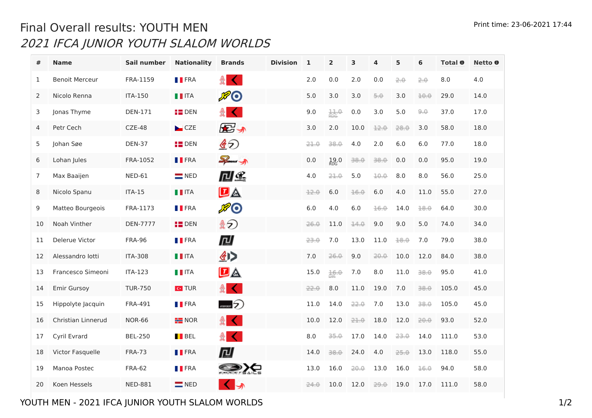## Print time: 23-06-2021 17:44 Final Overall results: YOUTH MEN IFCA JUNIOR YOUTH SLALOM WORLDS

| #              | <b>Name</b>           | Sail number     | <b>Nationality</b> | <b>Brands</b>                         | <b>Division</b> | $\mathbf{1}$ | $\overline{2}$      | 3    | 4    | 5    | 6    | Total <b>O</b> | Netto <b>O</b> |
|----------------|-----------------------|-----------------|--------------------|---------------------------------------|-----------------|--------------|---------------------|------|------|------|------|----------------|----------------|
| $\mathbf{1}$   | <b>Benoit Merceur</b> | FRA-1159        | <b>TERA</b>        | 츑 <br>€                               |                 | 2.0          | 0.0                 | 2.0  | 0.0  | 2.0  | 2.0  | 8.0            | 4.0            |
| 2              | Nicolo Renna          | <b>ITA-150</b>  | $\blacksquare$ ITA | $E$ O                                 |                 | 5.0          | 3.0                 | 3.0  | 5.0  | 3.0  | 10.0 | 29.0           | 14.0           |
| 3              | Jonas Thyme           | <b>DEN-171</b>  | $H$ DEN            | €<br>÷                                |                 | 9.0          | 11.0                | 0.0  | 3.0  | 5.0  | 9,0  | 37.0           | 17.0           |
| $\overline{4}$ | Petr Cech             | $CZE-48$        | CZE                | ⋐ 办                                   |                 | 3.0          | 2.0                 | 10.0 | 12.0 | 28.0 | 3.0  | 58.0           | 18.0           |
| 5              | Johan Søe             | <b>DEN-37</b>   | $P$ DEN            | §⊙                                    |                 | 21.0         | 38.0                | 4.0  | 2.0  | 6.0  | 6.0  | 77.0           | 18.0           |
| 6              | Lohan Jules           | FRA-1052        | <b>FRA</b>         | $\sum_{i=1}^{n}$                      |                 | 0.0          | 19.0 <sub>RDG</sub> | 38.0 | 38.0 | 0.0  | 0.0  | 95.0           | 19.0           |
| $\overline{7}$ | Max Baaijen           | <b>NED-61</b>   | $\blacksquare$ NED | 口经                                    |                 | 4.0          | 21.0                | 5.0  | 10.0 | 8.0  | 8.0  | 56.0           | 25.0           |
| 8              | Nicolo Spanu          | <b>ITA-15</b>   | $\blacksquare$ ITA | $D_{\mathbb{A}}$                      |                 | 12.0         | 6.0                 | 16.0 | 6.0  | 4.0  | 11.0 | 55.0           | 27.0           |
| 9              | Matteo Bourgeois      | FRA-1173        | <b>TERA</b>        | ℋ℗                                    |                 | 6.0          | 4.0                 | 6.0  | 16.0 | 14.0 | 18.0 | 64.0           | 30.0           |
| 10             | Noah Vinther          | <b>DEN-7777</b> | $\frac{1}{2}$ DEN  | 釒 ⊙                                   |                 | 26.0         | 11.0                | 14.0 | 9.0  | 9.0  | 5.0  | 74.0           | 34.0           |
| 11             | Delerue Victor        | <b>FRA-96</b>   | <b>TERA</b>        | 回                                     |                 | 23.0         | 7.0                 | 13.0 | 11.0 | 18.0 | 7.0  | 79.0           | 38.0           |
| 12             | Alessandro lotti      | <b>ITA-308</b>  | $\blacksquare$ ITA | 41>                                   |                 | 7.0          | 26.0                | 9.0  | 20.0 | 10.0 | 12.0 | 84.0           | 38.0           |
| 13             | Francesco Simeoni     | <b>ITA-123</b>  | $\blacksquare$ ITA | $D_{\mathbb{A}}$                      |                 | 15.0         | 16.0                | 7.0  | 8.0  | 11.0 | 38.0 | 95.0           | 41.0           |
| 14             | <b>Emir Gursoy</b>    | <b>TUR-750</b>  | $\mathbf{c}$ TUR   | 4<br>$\left\langle \right\rangle$     |                 | 22.0         | 8.0                 | 11.0 | 19.0 | 7.0  | 38.0 | 105.0          | 45.0           |
| 15             | Hippolyte Jacquin     | <b>FRA-491</b>  | <b>TERA</b>        | $\mathcal{D}$                         |                 | 11.0         | 14.0                | 22.0 | 7.0  | 13.0 | 38.0 | 105.0          | 45.0           |
| 16             | Christian Linnerud    | <b>NOR-66</b>   | $H$ NOR            | ÷.<br>$\left\langle \right\rangle$    |                 | 10.0         | 12.0                | 21.0 | 18.0 | 12.0 | 20.0 | 93.0           | 52.0           |
| 17             | Cyril Evrard          | <b>BEL-250</b>  | BEL                | $\frac{1}{2}$                         |                 | 8.0          | 35.0                | 17.0 | 14.0 | 23.0 | 14.0 | 111.0          | 53.0           |
| 18             | Victor Fasquelle      | <b>FRA-73</b>   | <b>TERA</b>        | 回                                     |                 | 14.0         | 38.0                | 24.0 | 4.0  | 25.0 | 13.0 | 118.0          | 55.0           |
| 19             | Manoa Postec          | <b>FRA-62</b>   | <b>FRA</b>         | SIG                                   |                 | 13.0         | 16.0                | 20.0 | 13.0 | 16.0 | 16.0 | 94.0           | 58.0           |
| 20             | Koen Hessels          | <b>NED-881</b>  | $\blacksquare$ NED | $\left( \left  \cdot \right  \right)$ |                 | 24.0         | 10.0                | 12.0 | 29.0 | 19.0 | 17.0 | 111.0          | 58.0           |

## YOUTH MEN - 2021 IFCA JUNIOR YOUTH SLALOM WORLDS 1/2